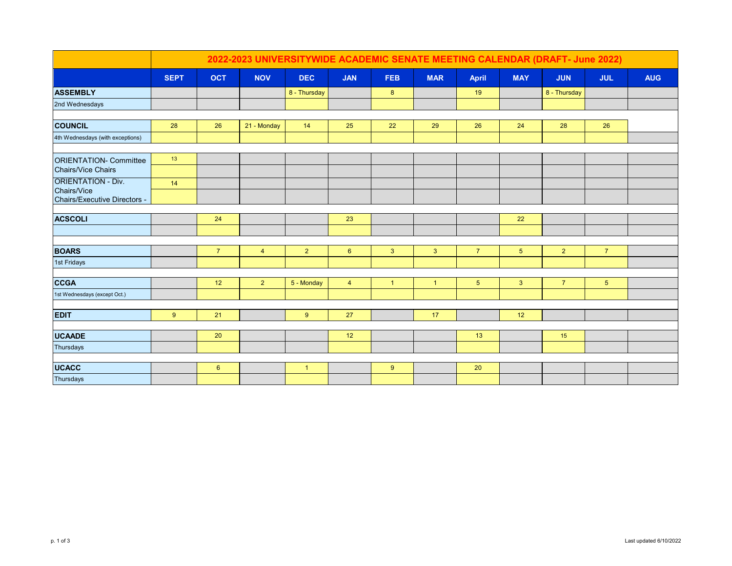|                                          | 2022-2023 UNIVERSITYWIDE ACADEMIC SENATE MEETING CALENDAR (DRAFT- June 2022) |                |                |              |                 |              |                |                 |                |                |                |            |
|------------------------------------------|------------------------------------------------------------------------------|----------------|----------------|--------------|-----------------|--------------|----------------|-----------------|----------------|----------------|----------------|------------|
|                                          | <b>SEPT</b>                                                                  | <b>OCT</b>     | <b>NOV</b>     | <b>DEC</b>   | <b>JAN</b>      | <b>FEB</b>   | <b>MAR</b>     | <b>April</b>    | <b>MAY</b>     | <b>JUN</b>     | <b>JUL</b>     | <b>AUG</b> |
| <b>ASSEMBLY</b>                          |                                                                              |                |                | 8 - Thursday |                 | 8            |                | 19              |                | 8 - Thursday   |                |            |
| 2nd Wednesdays                           |                                                                              |                |                |              |                 |              |                |                 |                |                |                |            |
|                                          |                                                                              |                |                |              |                 |              |                |                 |                |                |                |            |
| <b>COUNCIL</b>                           | 28                                                                           | 26             | 21 - Monday    | 14           | 25              | 22           | 29             | 26              | 24             | 28             | 26             |            |
| 4th Wednesdays (with exceptions)         |                                                                              |                |                |              |                 |              |                |                 |                |                |                |            |
|                                          |                                                                              |                |                |              |                 |              |                |                 |                |                |                |            |
| <b>ORIENTATION- Committee</b>            | 13                                                                           |                |                |              |                 |              |                |                 |                |                |                |            |
| <b>Chairs/Vice Chairs</b>                |                                                                              |                |                |              |                 |              |                |                 |                |                |                |            |
| <b>ORIENTATION - Div.</b><br>Chairs/Vice | 14                                                                           |                |                |              |                 |              |                |                 |                |                |                |            |
| Chairs/Executive Directors -             |                                                                              |                |                |              |                 |              |                |                 |                |                |                |            |
|                                          |                                                                              |                |                |              |                 |              |                |                 |                |                |                |            |
| <b>ACSCOLI</b>                           |                                                                              | 24             |                |              | 23              |              |                |                 | 22             |                |                |            |
|                                          |                                                                              |                |                |              |                 |              |                |                 |                |                |                |            |
| <b>BOARS</b>                             |                                                                              | $\overline{7}$ | $\overline{4}$ | $2^{\circ}$  | $6\overline{6}$ | 3            | $\overline{3}$ | $\overline{7}$  | 5 <sup>5</sup> | $\overline{2}$ | $\overline{7}$ |            |
| 1st Fridays                              |                                                                              |                |                |              |                 |              |                |                 |                |                |                |            |
|                                          |                                                                              |                |                |              |                 |              |                |                 |                |                |                |            |
| <b>CCGA</b>                              |                                                                              | 12             | $\overline{2}$ | 5 - Monday   | $\overline{4}$  | $\mathbf{1}$ | $\overline{1}$ | $5\phantom{.0}$ | $\mathbf{3}$   | $\overline{7}$ | 5 <sup>5</sup> |            |
| 1st Wednesdays (except Oct.)             |                                                                              |                |                |              |                 |              |                |                 |                |                |                |            |
|                                          |                                                                              |                |                |              |                 |              |                |                 |                |                |                |            |
| <b>EDIT</b>                              | 9                                                                            | 21             |                | 9            | 27              |              | 17             |                 | 12             |                |                |            |
|                                          |                                                                              |                |                |              |                 |              |                |                 |                |                |                |            |
| <b>UCAADE</b>                            |                                                                              | 20             |                |              | 12              |              |                | 13              |                | 15             |                |            |
| Thursdays                                |                                                                              |                |                |              |                 |              |                |                 |                |                |                |            |
| <b>UCACC</b>                             |                                                                              | $6\phantom{1}$ |                | $\mathbf{1}$ |                 | 9            |                | 20              |                |                |                |            |
| Thursdays                                |                                                                              |                |                |              |                 |              |                |                 |                |                |                |            |
|                                          |                                                                              |                |                |              |                 |              |                |                 |                |                |                |            |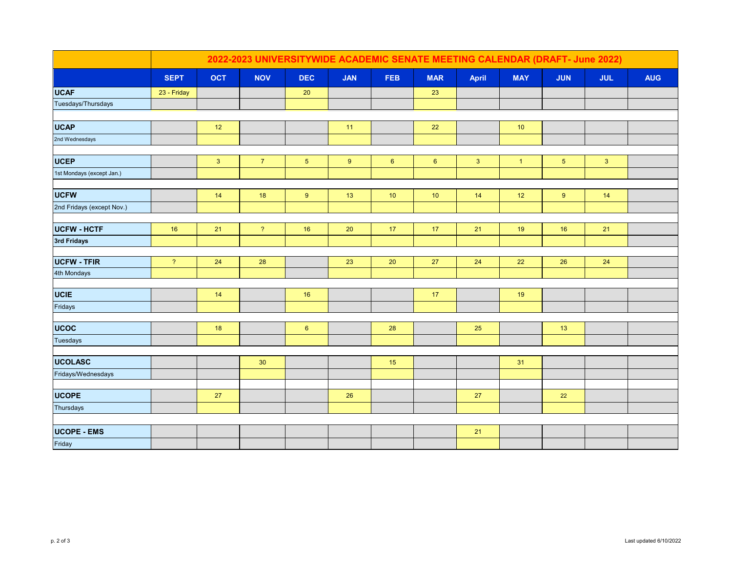|                                   | 2022-2023 UNIVERSITYWIDE ACADEMIC SENATE MEETING CALENDAR (DRAFT- June 2022) |            |                          |                 |                 |                |                |                |                |                |              |            |
|-----------------------------------|------------------------------------------------------------------------------|------------|--------------------------|-----------------|-----------------|----------------|----------------|----------------|----------------|----------------|--------------|------------|
|                                   | <b>SEPT</b>                                                                  | <b>OCT</b> | <b>NOV</b>               | <b>DEC</b>      | <b>JAN</b>      | <b>FEB</b>     | <b>MAR</b>     | April          | <b>MAY</b>     | <b>JUN</b>     | <b>JUL</b>   | <b>AUG</b> |
| <b>UCAF</b>                       | 23 - Friday                                                                  |            |                          | 20              |                 |                | 23             |                |                |                |              |            |
| Tuesdays/Thursdays                |                                                                              |            |                          |                 |                 |                |                |                |                |                |              |            |
|                                   |                                                                              |            |                          |                 |                 |                |                |                |                |                |              |            |
| <b>UCAP</b>                       |                                                                              | 12         |                          |                 | 11              |                | 22             |                | $10$           |                |              |            |
| 2nd Wednesdays                    |                                                                              |            |                          |                 |                 |                |                |                |                |                |              |            |
|                                   |                                                                              |            |                          |                 |                 |                |                |                |                |                |              |            |
| <b>UCEP</b>                       |                                                                              | 3          | 7 <sup>7</sup>           | 5 <sub>5</sub>  | 9               | $6\phantom{1}$ | $6\phantom{1}$ | 3 <sup>2</sup> | $\overline{1}$ | 5 <sub>5</sub> | $\mathbf{3}$ |            |
| 1st Mondays (except Jan.)         |                                                                              |            |                          |                 |                 |                |                |                |                |                |              |            |
| <b>UCFW</b>                       |                                                                              | 14         | 18                       | 9               | 13              | 10             | 10             | 14             | $12$           | 9              | 14           |            |
| 2nd Fridays (except Nov.)         |                                                                              |            |                          |                 |                 |                |                |                |                |                |              |            |
|                                   |                                                                              |            |                          |                 |                 |                |                |                |                |                |              |            |
| <b>UCFW - HCTF</b>                | $16\,$                                                                       | 21         | $\overline{\mathcal{E}}$ | 16              | $20\,$          | 17             | 17             | 21             | 19             | $16$           | 21           |            |
| 3rd Fridays                       |                                                                              |            |                          |                 |                 |                |                |                |                |                |              |            |
|                                   |                                                                              |            |                          |                 |                 |                |                |                |                |                |              |            |
| <b>UCFW - TFIR</b><br>4th Mondays | $\overline{\mathcal{E}}$                                                     | 24         | 28                       |                 | 23              | $20\,$         | 27             | 24             | 22             | 26             | 24           |            |
|                                   |                                                                              |            |                          |                 |                 |                |                |                |                |                |              |            |
| <b>UCIE</b>                       |                                                                              | 14         |                          | 16              |                 |                | 17             |                | 19             |                |              |            |
| Fridays                           |                                                                              |            |                          |                 |                 |                |                |                |                |                |              |            |
|                                   |                                                                              |            |                          |                 |                 |                |                |                |                |                |              |            |
| <b>UCOC</b>                       |                                                                              | 18         |                          | $6\overline{6}$ |                 | 28             |                | 25             |                | 13             |              |            |
| Tuesdays                          |                                                                              |            |                          |                 |                 |                |                |                |                |                |              |            |
|                                   |                                                                              |            |                          |                 |                 |                |                |                |                |                |              |            |
| <b>UCOLASC</b>                    |                                                                              |            | 30                       |                 |                 | 15             |                |                | 31             |                |              |            |
| Fridays/Wednesdays                |                                                                              |            |                          |                 |                 |                |                |                |                |                |              |            |
| <b>UCOPE</b>                      |                                                                              | 27         |                          |                 | $26\phantom{.}$ |                |                | 27             |                | 22             |              |            |
| Thursdays                         |                                                                              |            |                          |                 |                 |                |                |                |                |                |              |            |
|                                   |                                                                              |            |                          |                 |                 |                |                |                |                |                |              |            |
| <b>UCOPE - EMS</b>                |                                                                              |            |                          |                 |                 |                |                | 21             |                |                |              |            |
| Friday                            |                                                                              |            |                          |                 |                 |                |                |                |                |                |              |            |